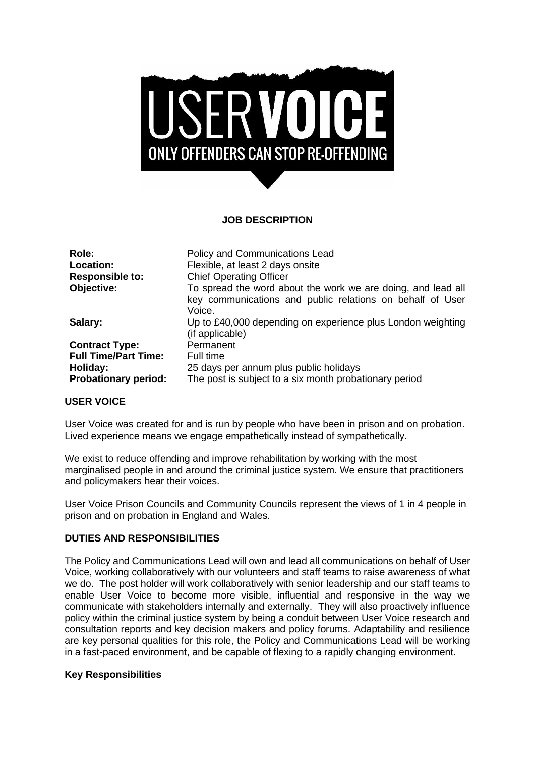

# **JOB DESCRIPTION**

| Role:                       | Policy and Communications Lead                                                                                                      |
|-----------------------------|-------------------------------------------------------------------------------------------------------------------------------------|
| Location:                   | Flexible, at least 2 days onsite                                                                                                    |
| <b>Responsible to:</b>      | <b>Chief Operating Officer</b>                                                                                                      |
| Objective:                  | To spread the word about the work we are doing, and lead all<br>key communications and public relations on behalf of User<br>Voice. |
| Salary:                     | Up to £40,000 depending on experience plus London weighting<br>(if applicable)                                                      |
| <b>Contract Type:</b>       | Permanent                                                                                                                           |
| <b>Full Time/Part Time:</b> | Full time                                                                                                                           |
| Holiday:                    | 25 days per annum plus public holidays                                                                                              |
| <b>Probationary period:</b> | The post is subject to a six month probationary period                                                                              |

# **USER VOICE**

User Voice was created for and is run by people who have been in prison and on probation. Lived experience means we engage empathetically instead of sympathetically.

We exist to reduce offending and improve rehabilitation by working with the most marginalised people in and around the criminal justice system. We ensure that practitioners and policymakers hear their voices.

User Voice Prison Councils and Community Councils represent the views of 1 in 4 people in prison and on probation in England and Wales.

#### **DUTIES AND RESPONSIBILITIES**

The Policy and Communications Lead will own and lead all communications on behalf of User Voice, working collaboratively with our volunteers and staff teams to raise awareness of what we do. The post holder will work collaboratively with senior leadership and our staff teams to enable User Voice to become more visible, influential and responsive in the way we communicate with stakeholders internally and externally. They will also proactively influence policy within the criminal justice system by being a conduit between User Voice research and consultation reports and key decision makers and policy forums. Adaptability and resilience are key personal qualities for this role, the Policy and Communications Lead will be working in a fast-paced environment, and be capable of flexing to a rapidly changing environment.

### **Key Responsibilities**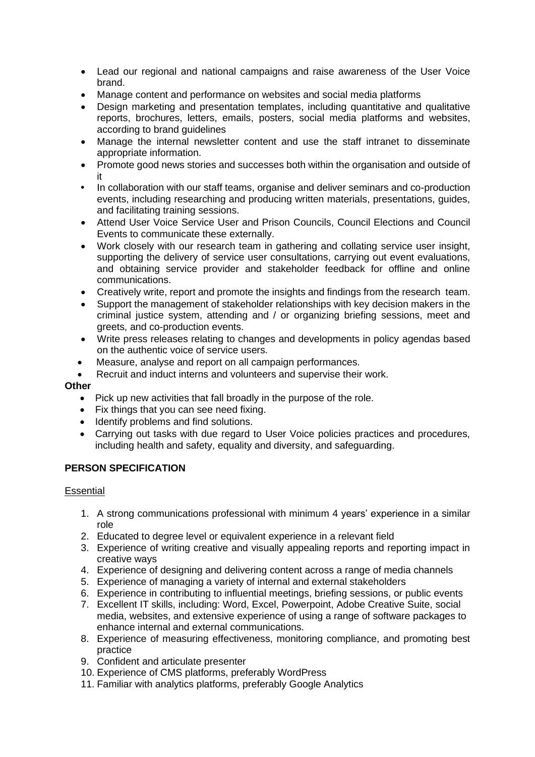- Lead our regional and national campaigns and raise awareness of the User Voice brand.
- Manage content and performance on websites and social media platforms
- Design marketing and presentation templates, including quantitative and qualitative reports, brochures, letters, emails, posters, social media platforms and websites, according to brand guidelines
- Manage the internal newsletter content and use the staff intranet to disseminate appropriate information.
- Promote good news stories and successes both within the organisation and outside of it
- **•** In collaboration with our staff teams, organise and deliver seminars and co-production events, including researching and producing written materials, presentations, guides, and facilitating training sessions.
- Attend User Voice Service User and Prison Councils, Council Elections and Council Events to communicate these externally.
- Work closely with our research team in gathering and collating service user insight, supporting the delivery of service user consultations, carrying out event evaluations, and obtaining service provider and stakeholder feedback for offline and online communications.
- Creatively write, report and promote the insights and findings from the research team.
- Support the management of stakeholder relationships with key decision makers in the criminal justice system, attending and / or organizing briefing sessions, meet and greets, and co-production events.
- Write press releases relating to changes and developments in policy agendas based on the authentic voice of service users.
- Measure, analyse and report on all campaign performances.
- Recruit and induct interns and volunteers and supervise their work.

# **Other**

- Pick up new activities that fall broadly in the purpose of the role.
- Fix things that you can see need fixing.
- Identify problems and find solutions.
- Carrying out tasks with due regard to User Voice policies practices and procedures, including health and safety, equality and diversity, and safeguarding.

# **PERSON SPECIFICATION**

#### **Essential**

- 1. A strong communications professional with minimum 4 years' experience in a similar role
- 2. Educated to degree level or equivalent experience in a relevant field
- 3. Experience of writing creative and visually appealing reports and reporting impact in creative ways
- 4. Experience of designing and delivering content across a range of media channels
- 5. Experience of managing a variety of internal and external stakeholders
- 6. Experience in contributing to influential meetings, briefing sessions, or public events
- 7. Excellent IT skills, including: Word, Excel, Powerpoint, Adobe Creative Suite, social media, websites, and extensive experience of using a range of software packages to enhance internal and external communications.
- 8. Experience of measuring effectiveness, monitoring compliance, and promoting best practice
- 9. Confident and articulate presenter
- 10. Experience of CMS platforms, preferably WordPress
- 11. Familiar with analytics platforms, preferably Google Analytics